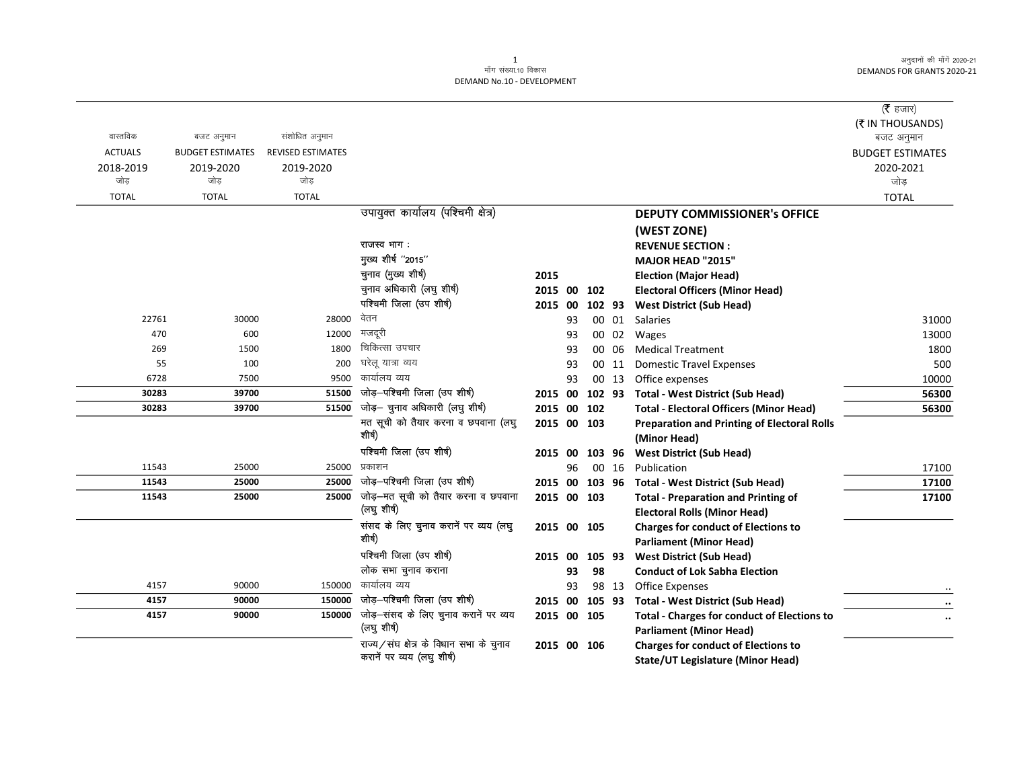|                |                         |                          |                                                                       |             |    |        |       |                                                                                        | ( $\bar{\tau}$ हजार)                  |
|----------------|-------------------------|--------------------------|-----------------------------------------------------------------------|-------------|----|--------|-------|----------------------------------------------------------------------------------------|---------------------------------------|
| वास्तविक       | बजट अनुमान              | संशोधित अनुमान           |                                                                       |             |    |        |       |                                                                                        | (₹ IN THOUSANDS)                      |
| <b>ACTUALS</b> | <b>BUDGET ESTIMATES</b> | <b>REVISED ESTIMATES</b> |                                                                       |             |    |        |       |                                                                                        | बजट अनुमान<br><b>BUDGET ESTIMATES</b> |
| 2018-2019      | 2019-2020               | 2019-2020                |                                                                       |             |    |        |       |                                                                                        | 2020-2021                             |
| जोड            | जोड                     | जोड                      |                                                                       |             |    |        |       |                                                                                        | जोड                                   |
| <b>TOTAL</b>   | <b>TOTAL</b>            | <b>TOTAL</b>             |                                                                       |             |    |        |       |                                                                                        | <b>TOTAL</b>                          |
|                |                         |                          | उपायुक्त कार्यालय (पश्चिमी क्षेत्र)                                   |             |    |        |       | <b>DEPUTY COMMISSIONER's OFFICE</b>                                                    |                                       |
|                |                         |                          |                                                                       |             |    |        |       | (WEST ZONE)                                                                            |                                       |
|                |                         |                          | राजस्व भाग:                                                           |             |    |        |       | <b>REVENUE SECTION:</b>                                                                |                                       |
|                |                         |                          | मुख्य शीर्ष "2015"                                                    |             |    |        |       | <b>MAJOR HEAD "2015"</b>                                                               |                                       |
|                |                         |                          | चुनाव (मुख्य शीर्ष)                                                   | 2015        |    |        |       | <b>Election (Major Head)</b>                                                           |                                       |
|                |                         |                          | चुनाव अधिकारी (लघु शीर्ष)                                             | 2015 00     |    | 102    |       | <b>Electoral Officers (Minor Head)</b>                                                 |                                       |
|                |                         |                          | पश्चिमी जिला (उप शीर्ष)                                               | 2015 00     |    | 102 93 |       | <b>West District (Sub Head)</b>                                                        |                                       |
| 22761          | 30000                   | 28000                    | वेतन                                                                  |             | 93 |        |       | 00 01 Salaries                                                                         | 31000                                 |
| 470            | 600                     | 12000                    | मजदूरी                                                                |             | 93 |        |       | 00 02 Wages                                                                            | 13000                                 |
| 269            | 1500                    | 1800                     | चिकित्सा उपचार                                                        |             | 93 |        | 00 06 | <b>Medical Treatment</b>                                                               | 1800                                  |
| 55             | 100                     | 200                      | घरेलू यात्रा व्यय                                                     |             | 93 |        | 00 11 | <b>Domestic Travel Expenses</b>                                                        | 500                                   |
| 6728           | 7500                    | 9500                     | कार्यालय व्यय                                                         |             | 93 |        | 00 13 | Office expenses                                                                        | 10000                                 |
| 30283          | 39700                   | 51500                    | जोड़-पश्चिमी जिला (उप शीर्ष)                                          | 2015 00     |    |        |       | 102 93 Total - West District (Sub Head)                                                | 56300                                 |
| 30283          | 39700                   | 51500                    | जोड़- चुनाव अधिकारी (लघु शीर्ष)                                       | 2015 00 102 |    |        |       | <b>Total - Electoral Officers (Minor Head)</b>                                         | 56300                                 |
|                |                         |                          | मत सूची को तैयार करना व छपवाना (लघु                                   | 2015 00 103 |    |        |       | <b>Preparation and Printing of Electoral Rolls</b>                                     |                                       |
|                |                         |                          | शीर्ष)                                                                |             |    |        |       | (Minor Head)                                                                           |                                       |
|                |                         |                          | पश्चिमी जिला (उप शीर्ष)                                               | 2015 00     |    | 103 96 |       | <b>West District (Sub Head)</b>                                                        |                                       |
| 11543          | 25000                   | 25000                    | प्रकाशन                                                               |             | 96 |        | 00 16 | Publication                                                                            | 17100                                 |
| 11543          | 25000                   | 25000                    | जोड़-पश्चिमी जिला (उप शीर्ष)                                          | 2015 00     |    | 103 96 |       | <b>Total - West District (Sub Head)</b>                                                | 17100                                 |
| 11543          | 25000                   | 25000                    | जोड़-मत सूची को तैयार करना व छपवाना                                   | 2015 00 103 |    |        |       | <b>Total - Preparation and Printing of</b>                                             | 17100                                 |
|                |                         |                          | (लघु शीर्ष)                                                           |             |    |        |       | <b>Electoral Rolls (Minor Head)</b>                                                    |                                       |
|                |                         |                          | संसद के लिए चुनाव करानें पर व्यय (लघु                                 | 2015 00 105 |    |        |       | <b>Charges for conduct of Elections to</b>                                             |                                       |
|                |                         |                          | शीर्ष)                                                                |             |    |        |       | <b>Parliament (Minor Head)</b>                                                         |                                       |
|                |                         |                          | पश्चिमी जिला (उप शीर्ष)                                               | 2015 00     |    | 105 93 |       | <b>West District (Sub Head)</b>                                                        |                                       |
|                |                         |                          | लोक सभा चुनाव कराना                                                   |             | 93 | 98     |       | <b>Conduct of Lok Sabha Election</b>                                                   |                                       |
| 4157           | 90000                   | 150000                   | कार्यालय व्यय                                                         |             | 93 |        | 98 13 | <b>Office Expenses</b>                                                                 |                                       |
| 4157           | 90000                   | 150000                   | जोड़-पश्चिमी जिला (उप शीर्ष)                                          | 2015 00     |    | 105 93 |       | <b>Total - West District (Sub Head)</b>                                                | $\cdots$                              |
| 4157           | 90000                   | 150000                   | जोड़-संसद के लिए चुनाव करानें पर व्यय<br>(लघु शीर्ष)                  | 2015 00 105 |    |        |       | <b>Total - Charges for conduct of Elections to</b><br><b>Parliament (Minor Head)</b>   |                                       |
|                |                         |                          | राज्य/संघ क्षेत्र के विधान सभा के चुनाव<br>करानें पर व्यय (लघु शीर्ष) | 2015 00 106 |    |        |       | <b>Charges for conduct of Elections to</b><br><b>State/UT Legislature (Minor Head)</b> |                                       |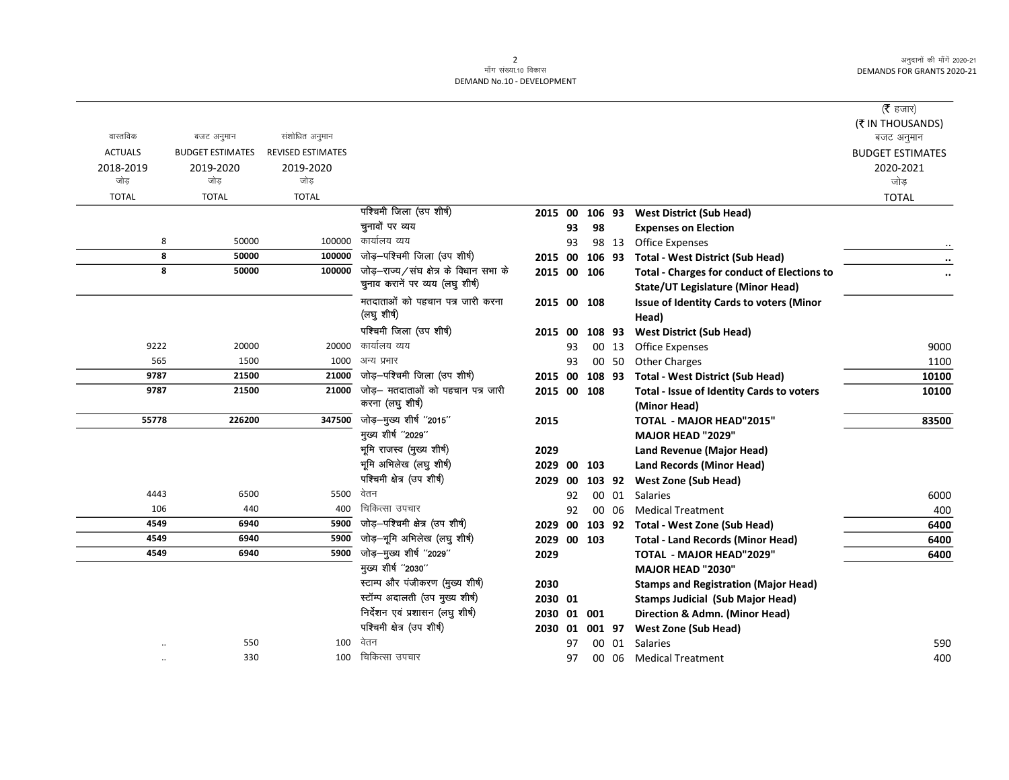|                |                         |                          |                                                 |             |    |        |       |                                                          | ( <b>रै</b> हजार)       |
|----------------|-------------------------|--------------------------|-------------------------------------------------|-------------|----|--------|-------|----------------------------------------------------------|-------------------------|
|                |                         |                          |                                                 |             |    |        |       |                                                          | (₹ IN THOUSANDS)        |
| वास्तविक       | बजट अनुमान              | संशोधित अनुमान           |                                                 |             |    |        |       |                                                          | बजट अनुमान              |
| <b>ACTUALS</b> | <b>BUDGET ESTIMATES</b> | <b>REVISED ESTIMATES</b> |                                                 |             |    |        |       |                                                          | <b>BUDGET ESTIMATES</b> |
| 2018-2019      | 2019-2020               | 2019-2020                |                                                 |             |    |        |       |                                                          | 2020-2021               |
| जोड            | जोड                     | जोड                      |                                                 |             |    |        |       |                                                          | जोड                     |
| <b>TOTAL</b>   | <b>TOTAL</b>            | <b>TOTAL</b>             |                                                 |             |    |        |       |                                                          | <b>TOTAL</b>            |
|                |                         |                          | पश्चिमी जिला (उप शीर्ष)                         | 2015 00     |    | 106 93 |       | <b>West District (Sub Head)</b>                          |                         |
|                |                         |                          | चुनावों पर व्यय                                 |             | 93 | 98     |       | <b>Expenses on Election</b>                              |                         |
| 8              | 50000                   | 100000                   | कार्यालय व्यय                                   |             | 93 |        | 98 13 | <b>Office Expenses</b>                                   |                         |
| 8              | 50000                   | 100000                   | जोड़-पश्चिमी जिला (उप शीर्ष)                    | 2015 00     |    | 106 93 |       | <b>Total - West District (Sub Head)</b>                  |                         |
| 8              | 50000                   | 100000                   | जोड़–राज्य/संघ क्षेत्र के विधान सभा के          | 2015 00 106 |    |        |       | <b>Total - Charges for conduct of Elections to</b>       | $\cdot\cdot$            |
|                |                         |                          | चुनाव करानें पर व्यय (लघु शीर्ष)                |             |    |        |       | <b>State/UT Legislature (Minor Head)</b>                 |                         |
|                |                         |                          | मतदाताओं को पहचान पत्र जारी करना<br>(लघु शीर्ष) | 2015 00 108 |    |        |       | <b>Issue of Identity Cards to voters (Minor</b><br>Head) |                         |
|                |                         |                          | पश्चिमी जिला (उप शीर्ष)                         | 2015        | 00 | 108 93 |       | <b>West District (Sub Head)</b>                          |                         |
| 9222           | 20000                   | 20000                    | कार्यालय व्यय                                   |             | 93 |        | 00 13 | <b>Office Expenses</b>                                   | 9000                    |
| 565            | 1500                    | 1000                     | अन्य प्रभार                                     |             | 93 |        | 00 50 | <b>Other Charges</b>                                     | 1100                    |
| 9787           | 21500                   | 21000                    | जोड़-पश्चिमी जिला (उप शीर्ष)                    | 2015 00     |    | 108 93 |       | <b>Total - West District (Sub Head)</b>                  | 10100                   |
| 9787           | 21500                   | 21000                    | जोड– मतदाताओं को पहचान पत्र जारी                | 2015 00 108 |    |        |       | Total - Issue of Identity Cards to voters                | 10100                   |
|                |                         |                          | करना (लघु शीर्ष)                                |             |    |        |       | (Minor Head)                                             |                         |
| 55778          | 226200                  | 347500                   | जोड़—मुख्य शीर्ष ''2015''                       | 2015        |    |        |       | <b>TOTAL - MAJOR HEAD"2015"</b>                          | 83500                   |
|                |                         |                          | मुख्य शीर्ष "2029"                              |             |    |        |       | <b>MAJOR HEAD "2029"</b>                                 |                         |
|                |                         |                          | भूमि राजस्व (मुख्य शीर्ष)                       | 2029        |    |        |       | Land Revenue (Major Head)                                |                         |
|                |                         |                          | भूमि अभिलेख (लघु शीर्ष)                         | 2029        | 00 | 103    |       | <b>Land Records (Minor Head)</b>                         |                         |
|                |                         |                          | पश्चिमी क्षेत्र (उप शीर्ष)                      | 2029 00     |    | 103 92 |       | <b>West Zone (Sub Head)</b>                              |                         |
| 4443           | 6500                    | 5500                     | वेतन                                            |             | 92 |        | 00 01 | Salaries                                                 | 6000                    |
| 106            | 440                     | 400                      | चिकित्सा उपचार                                  |             | 92 |        | 00 06 | <b>Medical Treatment</b>                                 | 400                     |
| 4549           | 6940                    | 5900                     | जोड़-पश्चिमी क्षेत्र (उप शीर्ष)                 | 2029 00     |    |        |       | 103 92 Total - West Zone (Sub Head)                      | 6400                    |
| 4549           | 6940                    | 5900                     | जोड़-भूमि अभिलेख (लघु शीर्ष)                    | 2029 00 103 |    |        |       | <b>Total - Land Records (Minor Head)</b>                 | 6400                    |
| 4549           | 6940                    | 5900                     | जोड़-मुख्य शीर्ष "2029"                         | 2029        |    |        |       | <b>TOTAL - MAJOR HEAD"2029"</b>                          | 6400                    |
|                |                         |                          | मुख्य शीर्ष "2030"                              |             |    |        |       | <b>MAJOR HEAD "2030"</b>                                 |                         |
|                |                         |                          | स्टाम्प और पंजीकरण (मुख्य शीर्ष)                | 2030        |    |        |       | <b>Stamps and Registration (Major Head)</b>              |                         |
|                |                         |                          | स्टॉम्प अदालती (उप मुख्य शीर्ष)                 | 2030 01     |    |        |       | <b>Stamps Judicial (Sub Major Head)</b>                  |                         |
|                |                         |                          | निर्देशन एवं प्रशासन (लघु शीर्ष)                | 2030        |    | 01 001 |       | Direction & Admn. (Minor Head)                           |                         |
|                |                         |                          | पश्चिमी क्षेत्र (उप शीर्ष)                      | 2030 01     |    | 001 97 |       | <b>West Zone (Sub Head)</b>                              |                         |
|                | 550                     | 100                      | वेतन                                            |             | 97 |        | 00 01 | <b>Salaries</b>                                          | 590                     |
|                | 330                     | 100                      | चिकित्सा उपचार                                  |             | 97 |        | 00 06 | <b>Medical Treatment</b>                                 | 400                     |
|                |                         |                          |                                                 |             |    |        |       |                                                          |                         |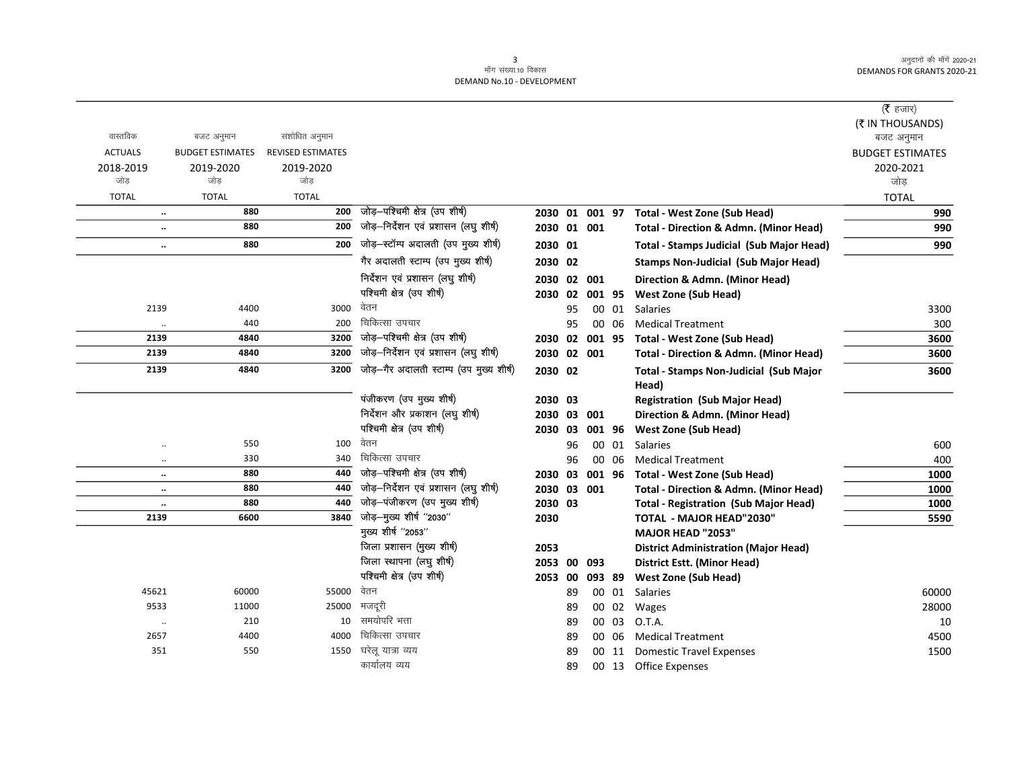|                |                             |                          |                                          |                |    |        |       |                                                   | ( <b>रै</b> हजार)       |
|----------------|-----------------------------|--------------------------|------------------------------------------|----------------|----|--------|-------|---------------------------------------------------|-------------------------|
|                |                             |                          |                                          |                |    |        |       |                                                   | (₹ IN THOUSANDS)        |
| वास्तविक       | बजट अनुमान                  | संशोधित अनुमान           |                                          |                |    |        |       |                                                   | बजट अनुमान              |
| <b>ACTUALS</b> | <b>BUDGET ESTIMATES</b>     | <b>REVISED ESTIMATES</b> |                                          |                |    |        |       |                                                   | <b>BUDGET ESTIMATES</b> |
| 2018-2019      | 2019-2020                   | 2019-2020                |                                          |                |    |        |       |                                                   | 2020-2021               |
| जोड़           | जोड                         | जोड                      |                                          |                |    |        |       |                                                   | जोड                     |
| <b>TOTAL</b>   | <b>TOTAL</b>                | <b>TOTAL</b>             |                                          |                |    |        |       |                                                   | <b>TOTAL</b>            |
|                | 880<br>$\ddotsc$            | 200                      | जोड़-पश्चिमी क्षेत्र (उप शीर्ष)          | 2030 01 001 97 |    |        |       | Total - West Zone (Sub Head)                      | 990                     |
|                | 880<br>$\ddotsc$            | 200                      | जोड़-निर्देशन एवं प्रशासन (लघु शीर्ष)    | 2030 01 001    |    |        |       | <b>Total - Direction &amp; Admn. (Minor Head)</b> | 990                     |
|                | 880<br>$\ddotsc$            | 200                      | जोड़-स्टॉम्प अदालती (उप मुख्य शीर्ष)     | 2030 01        |    |        |       | Total - Stamps Judicial (Sub Major Head)          | 990                     |
|                |                             |                          | गैर अदालती स्टाम्प (उप मुख्य शीर्ष)      | 2030 02        |    |        |       | <b>Stamps Non-Judicial (Sub Major Head)</b>       |                         |
|                |                             |                          | निर्देशन एवं प्रशासन (लघु शीर्ष)         | 2030 02 001    |    |        |       | Direction & Admn. (Minor Head)                    |                         |
|                |                             |                          | पश्चिमी क्षेत्र (उप शीर्ष)               | 2030 02        |    | 001 95 |       | <b>West Zone (Sub Head)</b>                       |                         |
| 2139           | 4400                        | 3000                     | वेतन                                     |                | 95 | 00     | 01    | Salaries                                          | 3300                    |
| $\ldots$       | 440                         | 200                      | चिकित्सा उपचार                           |                | 95 | 00     | 06    | <b>Medical Treatment</b>                          | 300                     |
| 2139           | 4840                        | 3200                     | जोड़-पश्चिमी क्षेत्र (उप शीर्ष)          | 2030 02 001 95 |    |        |       | Total - West Zone (Sub Head)                      | 3600                    |
| 2139           | 4840                        | 3200                     | जोड़-निर्देशन एवं प्रशासन (लघु शीर्ष)    | 2030 02 001    |    |        |       | Total - Direction & Admn. (Minor Head)            | 3600                    |
| 2139           | 4840                        | 3200                     | जोड़-गैर अदालती स्टाम्प (उप मुख्य शीर्ष) | 2030 02        |    |        |       | Total - Stamps Non-Judicial (Sub Major            | 3600                    |
|                |                             |                          |                                          |                |    |        |       | Head)                                             |                         |
|                |                             |                          | पंजीकरण (उप मुख्य शीर्ष)                 | 2030 03        |    |        |       | <b>Registration (Sub Major Head)</b>              |                         |
|                |                             |                          | निर्देशन और प्रकाशन (लघु शीर्ष)          | 2030 03 001    |    |        |       | Direction & Admn. (Minor Head)                    |                         |
|                |                             |                          | पश्चिमी क्षेत्र (उप शीर्ष)               | 2030 03        |    | 001 96 |       | <b>West Zone (Sub Head)</b>                       |                         |
|                | 550<br>$\ddotsc$            | 100                      | वेतन                                     |                | 96 | 00     | 01    | <b>Salaries</b>                                   | 600                     |
|                | 330<br>$\ddotsc$            | 340                      | चिकित्सा उपचार                           |                | 96 | 00     | 06    | <b>Medical Treatment</b>                          | 400                     |
|                | 880<br>$\ddotsc$            | 440                      | जोड़-पश्चिमी क्षेत्र (उप शीर्ष)          | 2030 03        |    | 001 96 |       | <b>Total - West Zone (Sub Head)</b>               | 1000                    |
|                | 880<br>$\ddotsc$            | 440                      | जोड़-निर्देशन एवं प्रशासन (लघु शीर्ष)    | 2030 03 001    |    |        |       | Total - Direction & Admn. (Minor Head)            | 1000                    |
|                | 880<br>$\ddot{\phantom{0}}$ | 440                      | जोड़-पंजीकरण (उप मुख्य शीर्ष)            | 2030 03        |    |        |       | <b>Total - Registration (Sub Major Head)</b>      | 1000                    |
| 2139           | 6600                        | 3840                     | जोड़-मुख्य शीर्ष "2030"                  | 2030           |    |        |       | <b>TOTAL - MAJOR HEAD"2030"</b>                   | 5590                    |
|                |                             |                          | मुख्य शीर्ष ''2053''                     |                |    |        |       | <b>MAJOR HEAD "2053"</b>                          |                         |
|                |                             |                          | जिला प्रशासन (मुख्य शीर्ष)               | 2053           |    |        |       | <b>District Administration (Major Head)</b>       |                         |
|                |                             |                          | जिला स्थापना (लघु शीर्ष)                 | 2053 00        |    | 093    |       | <b>District Estt. (Minor Head)</b>                |                         |
|                |                             |                          | पश्चिमी क्षेत्र (उप शीर्ष)               | 2053 00        |    | 093 89 |       | <b>West Zone (Sub Head)</b>                       |                         |
| 45621          | 60000                       | 55000                    | वेतन                                     |                | 89 |        | 00 01 | Salaries                                          | 60000                   |
| 9533           | 11000                       | 25000                    | मजदूरी                                   |                | 89 | 00     | 02    | Wages                                             | 28000                   |
| $\cdot\cdot$   | 210                         | 10                       | समयोपरि भत्ता                            |                | 89 | 00     | 03    | O.T.A.                                            | 10                      |
| 2657           | 4400                        | 4000                     | चिकित्सा उपचार                           |                | 89 |        | 00 06 | <b>Medical Treatment</b>                          | 4500                    |
| 351            | 550                         | 1550                     | घरेलू यात्रा व्यय                        |                | 89 |        | 00 11 | <b>Domestic Travel Expenses</b>                   | 1500                    |
|                |                             |                          | कार्यालय व्यय                            |                | 89 |        |       | 00 13 Office Expenses                             |                         |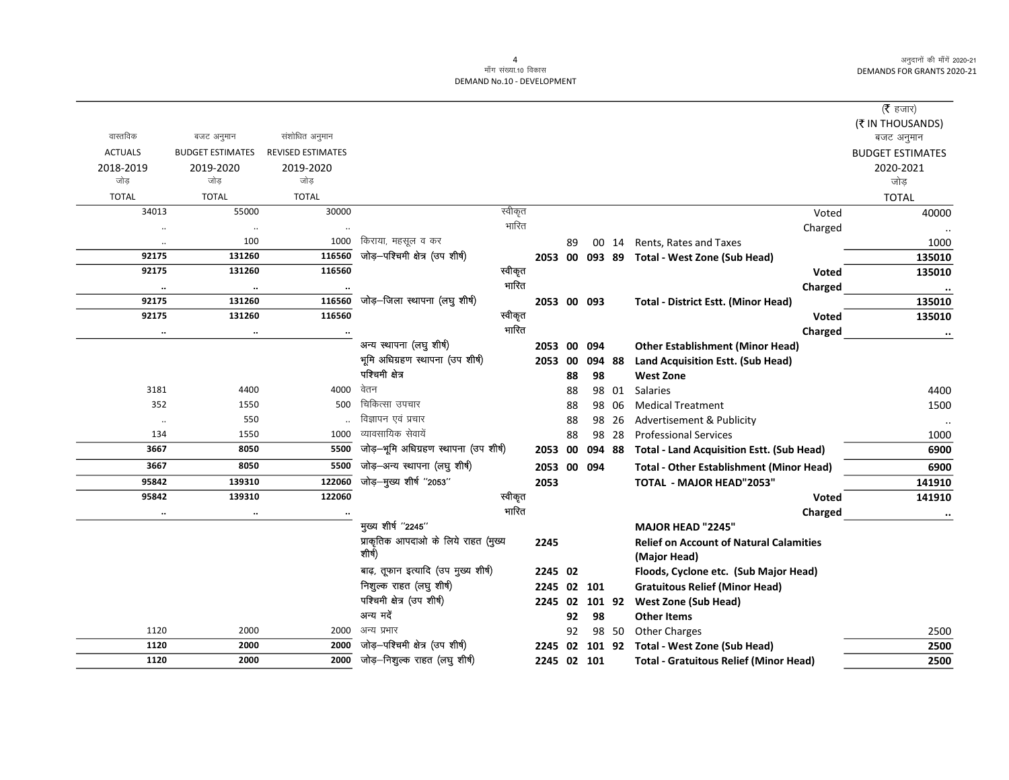$\overline{\phantom{0}}$ 

|                       |                                |                          |                                       |                  |             |    |        |       |                                                     | ( $\bar{\tau}$ हजार)    |
|-----------------------|--------------------------------|--------------------------|---------------------------------------|------------------|-------------|----|--------|-------|-----------------------------------------------------|-------------------------|
|                       |                                |                          |                                       |                  |             |    |        |       |                                                     | (₹ IN THOUSANDS)        |
| वास्तविक              | बजट अनुमान                     | संशोधित अनुमान           |                                       |                  |             |    |        |       |                                                     | बजट अनुमान              |
| <b>ACTUALS</b>        | <b>BUDGET ESTIMATES</b>        | <b>REVISED ESTIMATES</b> |                                       |                  |             |    |        |       |                                                     | <b>BUDGET ESTIMATES</b> |
| 2018-2019             | 2019-2020                      | 2019-2020                |                                       |                  |             |    |        |       |                                                     | 2020-2021               |
| जोड़                  | जोड़                           | जोड़                     |                                       |                  |             |    |        |       |                                                     | जोड़                    |
| <b>TOTAL</b>          | <b>TOTAL</b>                   | <b>TOTAL</b>             |                                       |                  |             |    |        |       |                                                     | <b>TOTAL</b>            |
| 34013                 | 55000                          | 30000                    |                                       | स्वीकृत<br>भारित |             |    |        |       | Voted                                               | 40000                   |
| $\ddot{\phantom{0}}$  | $\cdot\cdot$                   | 1000                     | किराया, महसूल व कर                    |                  |             |    |        |       | Charged                                             |                         |
| $\cdot\cdot$<br>92175 | 100<br>131260                  | 116560                   | जोड़-पश्चिमी क्षेत्र (उप शीर्ष)       |                  |             | 89 |        | 00 14 | Rents, Rates and Taxes                              | 1000                    |
| 92175                 | 131260                         | 116560                   |                                       | स्वीकृत          |             |    |        |       | 2053 00 093 89 Total - West Zone (Sub Head)         | 135010                  |
|                       |                                |                          |                                       | भारित            |             |    |        |       | <b>Voted</b>                                        | 135010                  |
| $\ddotsc$<br>92175    | $\ddot{\phantom{a}}$<br>131260 | 116560                   | जोड़-जिला स्थापना (लघु शीर्ष)         |                  | 2053 00 093 |    |        |       | Charged                                             | $\cdots$<br>135010      |
| 92175                 | 131260                         | 116560                   |                                       | स्वीकृत          |             |    |        |       | <b>Total - District Estt. (Minor Head)</b><br>Voted | 135010                  |
|                       |                                |                          |                                       | भारित            |             |    |        |       |                                                     |                         |
| $\ddotsc$             |                                |                          | अन्य स्थापना (लघु शीर्ष)              |                  | 2053 00 094 |    |        |       | Charged<br><b>Other Establishment (Minor Head)</b>  | $\ddotsc$               |
|                       |                                |                          | भूमि अधिग्रहण स्थापना (उप शीर्ष)      |                  | 2053        | 00 | 094 88 |       | Land Acquisition Estt. (Sub Head)                   |                         |
|                       |                                |                          | पश्चिमी क्षेत्र                       |                  |             | 88 | 98     |       | <b>West Zone</b>                                    |                         |
| 3181                  | 4400                           | 4000                     | वेतन                                  |                  |             | 88 |        | 98 01 | <b>Salaries</b>                                     | 4400                    |
| 352                   | 1550                           | 500                      | चिकित्सा उपचार                        |                  |             | 88 |        | 98 06 | <b>Medical Treatment</b>                            | 1500                    |
| $\ddotsc$             | 550                            |                          | विज्ञापन एवं प्रचार                   |                  |             | 88 |        | 98 26 | Advertisement & Publicity                           | $\ddotsc$               |
| 134                   | 1550                           | 1000                     | व्यावसायिक सेवायें                    |                  |             | 88 |        | 98 28 | <b>Professional Services</b>                        | 1000                    |
| 3667                  | 8050                           | 5500                     | जोड़-भूमि अधिग्रहण स्थापना (उप शीर्ष) |                  | 2053        | 00 | 094 88 |       | <b>Total - Land Acquisition Estt. (Sub Head)</b>    | 6900                    |
| 3667                  | 8050                           | 5500                     | जोड़-अन्य स्थापना (लघु शीर्ष)         |                  | 2053 00 094 |    |        |       | <b>Total - Other Establishment (Minor Head)</b>     | 6900                    |
| 95842                 | 139310                         | 122060                   | जोड़-मुख्य शीर्ष "2053"               |                  | 2053        |    |        |       | <b>TOTAL - MAJOR HEAD"2053"</b>                     | 141910                  |
| 95842                 | 139310                         | 122060                   |                                       | स्वीकृत          |             |    |        |       | Voted                                               | 141910                  |
| $\ddotsc$             | $\cdot\cdot$                   | $\cdot\cdot$             |                                       | भारित            |             |    |        |       | Charged                                             |                         |
|                       |                                |                          | मुख्य शीर्ष "2245"                    |                  |             |    |        |       | <b>MAJOR HEAD "2245"</b>                            |                         |
|                       |                                |                          | प्राकृतिक आपदाओं के लिये राहत (मुख्य  |                  | 2245        |    |        |       | <b>Relief on Account of Natural Calamities</b>      |                         |
|                       |                                |                          | शीर्ष)                                |                  |             |    |        |       | (Major Head)                                        |                         |
|                       |                                |                          | बाढ़, तूफान इत्यादि (उप मुख्य शीर्ष)  |                  | 2245 02     |    |        |       | Floods, Cyclone etc. (Sub Major Head)               |                         |
|                       |                                |                          | निशुल्क राहत (लघु शीर्ष)              |                  | 2245 02     |    | 101    |       | <b>Gratuitous Relief (Minor Head)</b>               |                         |
|                       |                                |                          | पश्चिमी क्षेत्र (उप शीर्ष)            |                  | 2245 02     |    | 101 92 |       | <b>West Zone (Sub Head)</b>                         |                         |
|                       |                                |                          | अन्य मदें                             |                  |             | 92 | 98     |       | <b>Other Items</b>                                  |                         |
| 1120                  | 2000                           | 2000                     | अन्य प्रभार                           |                  |             | 92 |        | 98 50 | <b>Other Charges</b>                                | 2500                    |
| 1120                  | 2000                           | 2000                     | जोड़-पश्चिमी क्षेत्र (उप शीर्ष)       |                  | 2245 02     |    |        |       | 101 92 Total - West Zone (Sub Head)                 | 2500                    |
| 1120                  | 2000                           | 2000                     | जोड़–निशुल्क राहत (लघु शीर्ष)         |                  | 2245 02 101 |    |        |       | <b>Total - Gratuitous Relief (Minor Head)</b>       | 2500                    |